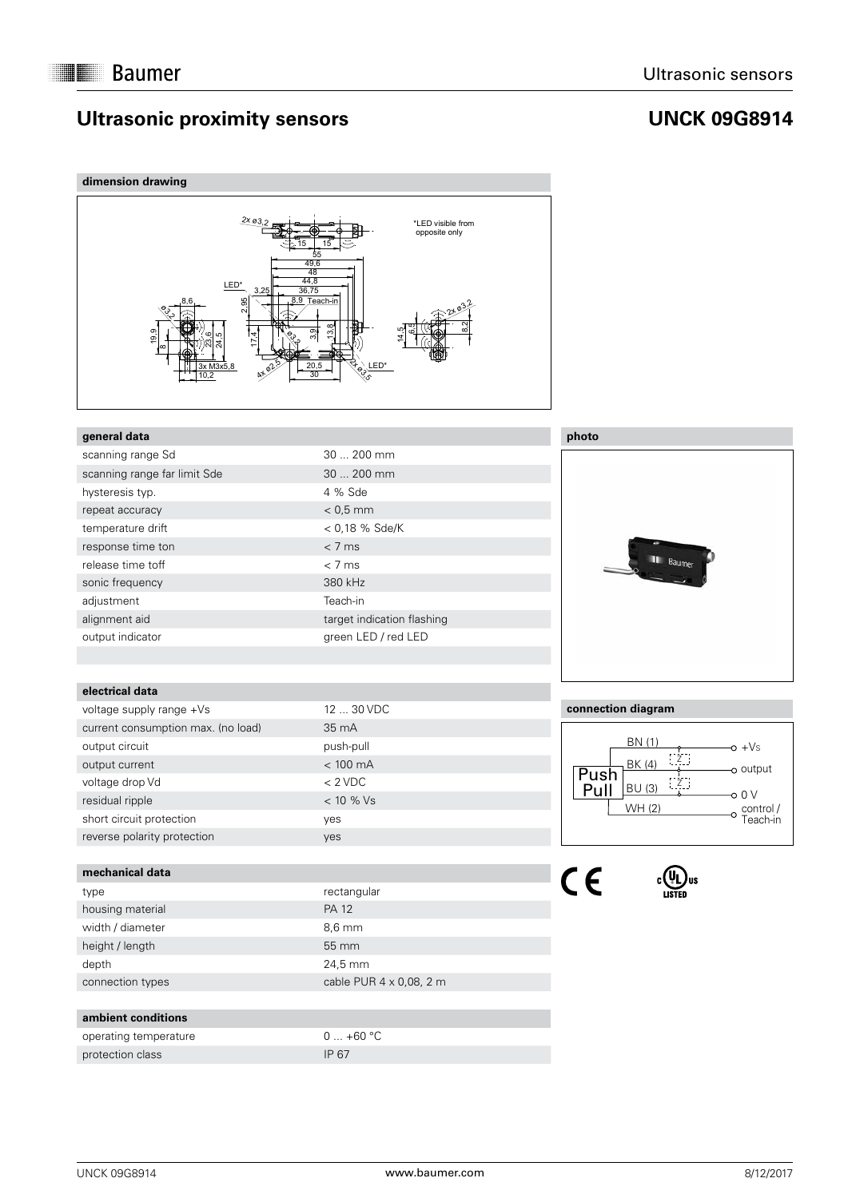# **Ultrasonic proximity sensors**

## **UNCK 09G8914**



### **general data**

| scanning range Sd            | 30  200 mm                 |
|------------------------------|----------------------------|
| scanning range far limit Sde | 30  200 mm                 |
| hysteresis typ.              | 4 % Sde                    |
| repeat accuracy              | $< 0.5$ mm                 |
| temperature drift            | $< 0.18$ % Sde/K           |
| response time ton            | $< 7$ ms                   |
| release time toff            | $< 7$ ms                   |
| sonic frequency              | 380 kHz                    |
| adjustment                   | Teach-in                   |
| alignment aid                | target indication flashing |
| output indicator             | green LED / red LED        |

# **photo**



#### **electrical data**

| voltage supply range +Vs           | 12  30 VDC   |
|------------------------------------|--------------|
| current consumption max. (no load) | 35 mA        |
| output circuit                     | push-pull    |
| output current                     | $< 100$ mA   |
| voltage drop Vd                    | $< 2$ VDC    |
| residual ripple                    | $< 10 \%$ Vs |
| short circuit protection           | yes          |
| reverse polarity protection        | ves          |

| mechanical data  |                         |
|------------------|-------------------------|
| type             | rectangular             |
| housing material | <b>PA 12</b>            |
| width / diameter | $8,6 \text{ mm}$        |
| height / length  | 55 mm                   |
| depth            | 24,5 mm                 |
| connection types | cable PUR 4 x 0,08, 2 m |
|                  |                         |

#### **ambient conditions**

| operating temperature | $0+60 °C$    |
|-----------------------|--------------|
| protection class      | <b>IP 67</b> |

### **connection diagram**



**CUL**US

 $C \in$